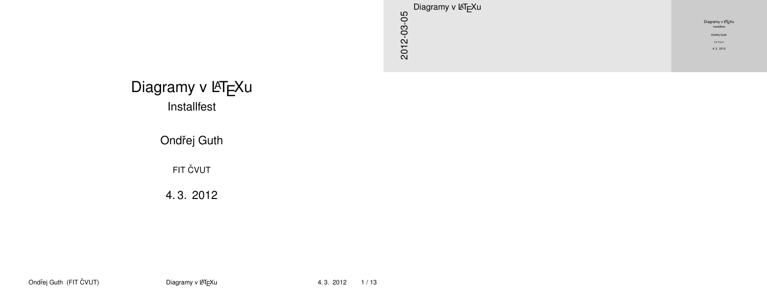

### Diagramy v LAT<sub>E</sub>Xu Installfest

Ondřej Guth

**FIT ČVUT** 

<span id="page-0-0"></span>4. 3. 2012

Ondřej Guth (FIT ČVUT) indextraje [Diagramy v L](#page-12-0)ATEXu intervention de 4.3. 2012 1/13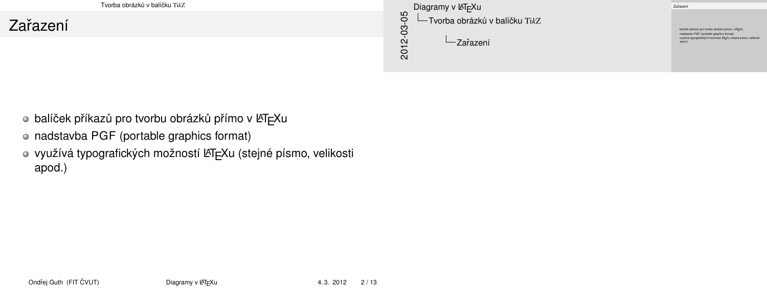[Tvorba](#page-1-0)[obrázk](#page-1-0)[˚u](#page-1-0)[v](#page-1-0)[balícku](#page-1-0) ˇ Ti*k*Z

### Zařa[zení](#page-1-0)

<span id="page-1-0"></span>2012-03-05 Diagramy v LAT<sub>F</sub>Xu Tvorba obrázk ˚u v balícku ˇ Ti*k*Z  $-$ Zařazení

balíček příkazů pro tvorbu obrázků přímo v ISTEXu nadstavba PGF (portable graphics format) využívá typografických možností LATEXu (stejné písmo, velikosti

Zařazení

- o balíček příkazů pro tvorbu obrázků přímo v LATEXu
- nadstavba PGF (portable graphics format)
- využívá typografických možností LATEXu (stejné písmo, velikosti apod.)

Ondřej Guth (FIT ČVUT) intervence [Diagramy v L](#page-0-0)ATEXu and the server of the server of the server of the 2/13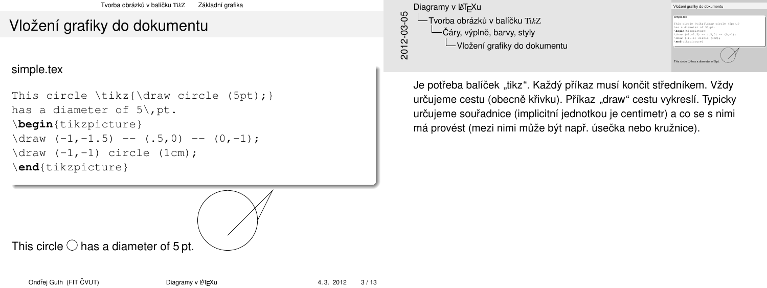# Vlož[ení](#page-1-0) [grafiky do do](#page-2-0)[ku](#page-1-0)mentu

#### simple.tex

```
This circle \text{\draw circle} (5pt);has a diameter of 5\backslash, pt.
\begin{tikzpicture}
\frac{-1, -1.5} -- (.5, 0) -- (0, -1);\langle \text{draw } (-1, -1) \text{ circle } (1 \text{cm});
\end{tikzpicture}
```
2012-03-05 Diagramy v LATEXu Tvorba obrázk ˚u v balícku ˇ Ti*k*Z -Čáry, výplně, barvy, styly Vložení grafiky do dokumentu

Vložení grafiky do dokumentu simple.tex simple.tex<br>This circle \tikz{\draw circle (5pt);}<br>has a diameter of 5\,pt.<br>\heels(kikosistuss) nss a caamster or 5.<sub>/pt.</sub><br> **\draw** (-1,-1.5) -- (.5,0) -- (0,-1);<br> **\draw** (-1,-1) circle (1cm);<br> **\draw** (-1,-1) circle (1cm);

\**end**{tikzpicture} This circle  $\bigcap$  has a diameter of 5

Je potřeba balíček "tikz". Každý příkaz musí končit středníkem. Vždy určujeme cestu (obecně křivku). Příkaz "draw" cestu vykreslí. Typicky určujeme souřadnice (implicitní jednotkou je centimetr) a co se s nimi má provést (mezi nimi může být např. úsečka nebo kružnice).

This circle  $\bigcirc$  has a diameter of 5 pt.

<span id="page-2-0"></span>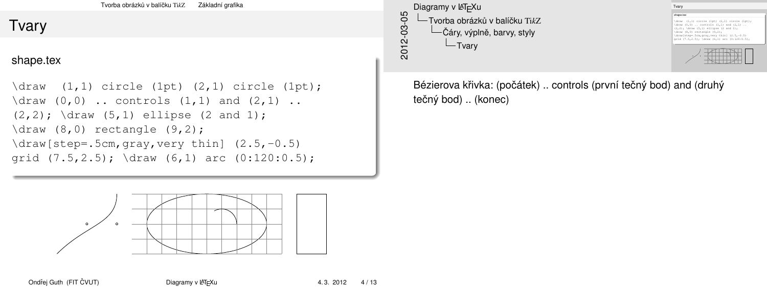# Tvar[y](#page-1-0)

shape.tex

```
\dagger (1,1) circle (1pt) (2,1) circle (1pt);
\frac{0,0)}{\dots} controls (1,1) and (2,1).
(2, 2); \draw (5, 1) ellipse (2 \text{ and } 1);
\langle 8,0 \rangle rectangle (9,2);
\draw[step=.5cm,gray,very thin] (2.5,-0.5)
grid (7.5,2.5); \draw (6,1) arc (0:120:0.5);
```

```
2012-03-05
    Diagramy v LAT<sub>F</sub>Xu
       -Tvorba obrázků v balíčku TikZ
            -Čáry, výplně, barvy, styly
             -Tvary
```


Bézierova křivka: (počátek) .. controls (první tečný bod) and (druhý tečný bod) .. (konec)



<span id="page-3-0"></span>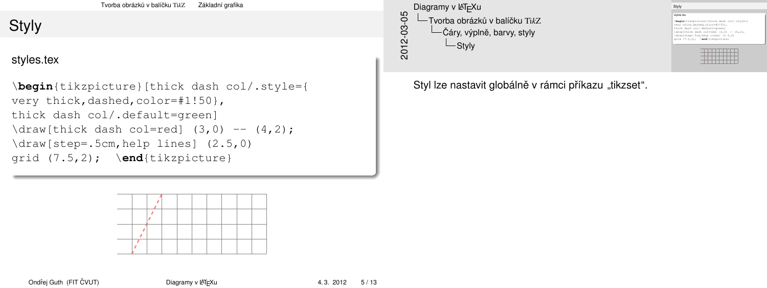# Styly

styles.tex

```
\begin{tikzpicture}[thick dash col/.style={
very thick,dashed,color=#1!50},
thick dash col/.default=green]
\daggerdraw[thick dash col=red] (3,0) -- (4,2);
\draw[step=.5cm,help lines] (2.5,0)
grid (7.5,2); \end{tikzpicture}
```

```
2012-03-05
     Diagramy v LAT<sub>F</sub>Xu
       -Tvorba obrázků v balíčku TikZ
             -Čáry, výplně, barvy, styly
               <u></u> Styly
```
Styly styles.tex **\begin**(tikzpicture)[thick dash color=#1!50},<br>very thick,dashed,color=#1!50},<br>thick dash col/.default=green]<br>\deputhick dash salmmed] (2.0) \**begin**{tikzpicture}[thick dash col/.style={ very thick dash col-celestration<br>thick dash col-red] (3,0) -- (4,2);<br>\draw[thick dash col=red] (3,0) -- (4,2);<br>\draw[step=.5cm,help lines] (2.5,0)<br>arid (7.5.0);<br>\draw[step=.5cm,help lines] \draw[shap=.5cm,help lines] (2.5,0)<br>prid (7.5.2); \**end**(tikzpicture) <u> Tagairtí ar an t-</u>

 $\overline{A}$  , and the set of  $\overline{A}$ i di Kilometrik Ka

Styl lze nastavit globálně v rámci příkazu "tikzset".



Ondřej Guth (FIT ČVUT) indeprehen [Diagramy v L](#page-0-0)ATEXu and the server of the server of 13

<span id="page-4-0"></span>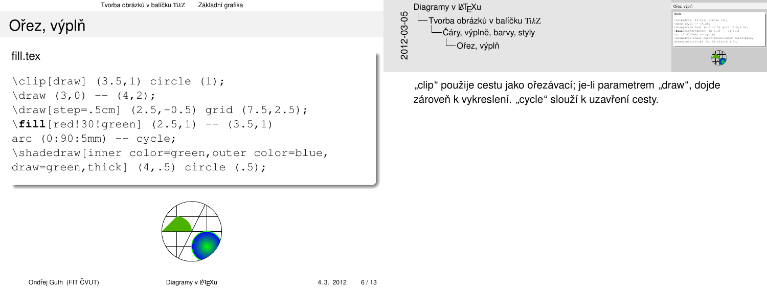# Ořez[, v](#page-1-0)ýplň

fill.tex

```
\clap{\setminus \text{clip}[\text{draw}] (3.5,1) circle (1);
\frac{3,0} -- (4,2);\draw[step=.5cm] (2.5,-0.5) grid (7.5,2.5);
\fill[red!30!green] (2.5,1) -- (3.5,1)
arc (0:90:5mm) -- cycle;
\shadedraw[inner color=green,outer color=blue,
draw=green,thick] (4,.5) circle (.5);
```

```
2012-03-05
   Diagramy v LATEXu
         Tvorba obrázků v balíčku TikZ
           -Čáry, výplně, barvy, styly
             \BoxOřez, výplň
```
Ořez, výplň fill.tex \clip[draw] (3.5,1) circle (1); \draw (3,0) -- (4,2); \cip[uraw] (3.5,-1) circis<br>\draw[step=.5cm] (2.5,-0.5) grid (7.5,2.5);<br>\draw[step=.5cm] (2.5,-0.5) grid (7.5,2.5);<br>\**fill**[red[30!green] (2.5,1) -- (3.5,1)<br> $10^{10.5}$ (fill[red!30!green] (2.5,1) -- (3.5,1)<br>\fill[red!30!green] (2.5,1) -- (3.5,1) \shadedraw[inner color=green,outer color=blue, draw=green,thick] (4,.5) circle (.5);

 $\bigcirc$ 

"clip" použije cestu jako oˇrezávací; je-li parametrem "draw", dojde zároveň k vykreslení. "cycle" slouží k uzavření cesty.



Ondˇrej Guth (FIT CVUT) <sup>ˇ</sup> [Diagramy v L](#page-0-0)ATEXu 4. 3. 2012 6 / 13

<span id="page-5-0"></span>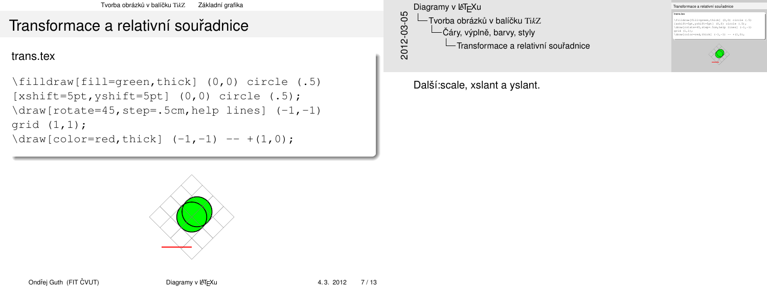## Tran[sfo](#page-1-0)[rmace a relati](#page-2-0)[vn](#page-1-0)í souřadnice

trans.tex

```
\filldraw[fill=green,thick] (0,0) circle (.5)
[xshift=5pt, yshift=5pt] (0,0) circle (.5);
\draw[rotate=45,step=.5cm,help lines] (-1,-1)
qrid (1,1);
\daggerdraw[color=red,thick] (-1, -1) -- +(1,0);
```
2012-03-05 Diagramy v LAT<sub>F</sub>Xu Tvorba obrázk ˚u v balícku ˇ Ti*k*Z  $-$ Čáry, výplně, barvy, styly  $\Box$ Transformace a relativní souřadnice

<span id="page-6-0"></span>Další:scale, xslant a yslant.



Transformace a relativní souřadnice

#### trans.tex

**trans.tox**<br>\filldraw[fill=green,thick] (0,0) circle (.5);<br>[xshift=5pt,yshift=5pt] (0,0) circle (.5);<br>\dowlpate.toxic atom: 5m bala lineal (al.al); \draw[rotate=45,step=.5cm,help lines] (-1,-1) gramint-bpt,yanit-bpt] (0,0) circle (-5);<br>\draw[rotate=45,step=.5cm,belp lines] (-1,-1<br>\grid (1,1);<br>\draw[color=red,thick] (-1,-1) -- +(1,0);

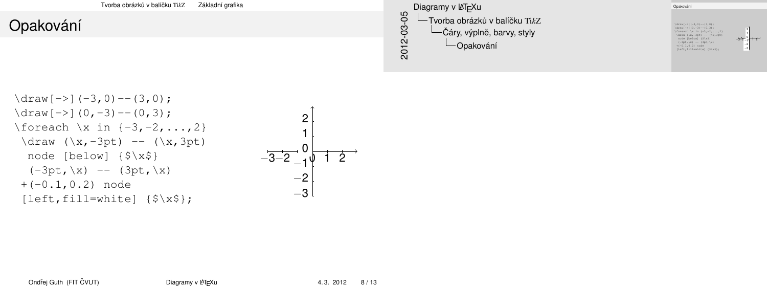[Tvorba](#page-7-0)[obrázk](#page-7-0)ů [v](#page-7-0) balíčku TikZ [Základní grafika](#page-7-0) Opa[kov](#page-1-0)[ání](#page-2-0) Opakování  $\frac{-}{3,0}$  --(3,0); \draw[->](-3,0)--(3,0);<br>\draw[->](0,-3)--(0,3);<br>\foreach \x in {-3,-2,...,2}<br>\draw (\x -3n+) -- (\x 3n+)  $\begin{aligned} \text{draw} \{=\} \{0,-3\} = \{0,3\} \; \text{for each} \; \{x \text{ in } \{-3,-2,\dots,2\} \; \text{draw } (\forall x,-3pt) \; = \; (\forall x,3pt) \; \text{not} \; \text{not} \; = \; (\forall x,3pt) \; \text{not} \; \text{not} \; = \; (\forall x,3pt) \; \text{not} \; = \; (\forall x \text{ in } \{-1,1\}) \; \end{aligned}$ ( $x = 5p$ ) -- (1x,3pt)<br>
node [below]  $(8 \times 3)$ <br>  $(-3pt, x)$  - (3pt,\x)<br>  $+(-0.1,0.2)$  node<br>
[left,fill=white]  $(8 \times 8)$ ; –3–2 −1+1 2 −3 −2 2012-03-05 Diagramy v LATEXu **└─ Tvorba obrázků v balíčku TikZ**  $-\check{C}$ áry, výplně, barvy, styly Opakování

 $\sqrt{2}$ 

\draw[->](-3,0)--(3,0); \draw[->](0,-3)--(0,3); \foreach \x in {-3,-2,...,2} \draw (\x,-3pt) -- (\x,3pt) node [below] {\$\x\$} (-3pt,\x) -- (3pt,\x) +(-0.1,0.2) node [left,fill=white] {\$\x\$};

<span id="page-7-0"></span>
$$
\begin{bmatrix}\n2 \\
1 \\
1 \\
-3-2 \\
-10 \\
-2 \\
-3\n\end{bmatrix}
$$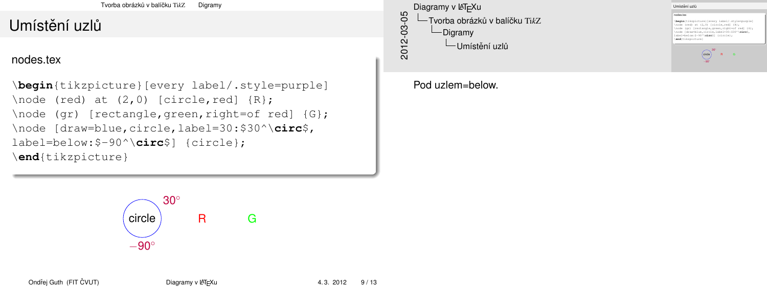[Tvorba](#page-8-0)[obrázk](#page-8-0)ů [v](#page-8-0) balíčku Tik<sub>Z</sub> [Digramy](#page-8-0)

## Umístěníuzlů

nodes.tex

```
\begin{tikzpicture}[every label/.style=purple]
\setminusnode (red) at (2,0) [circle,red] \{R\};\node (gr) [rectangle, green, right=of red] {G};
\node [draw=blue,circle,label=30:$30^\circ$,
label=below:$-90^\circ$] {circle};
\end{tikzpicture}
```
2012-03-05 Diagramy v LATEXu Tvorba obrázk ˚u v balícku ˇ Ti*k*Z Digramy  $\Box$ Umístění uzlů

#### <span id="page-8-0"></span>Pod uzlem=below.



Umístění uzlů

```
nodes.tex
 nodes.tex<br>\begin{tikzpicture}[every label/.style=purple]<br>\node (red) at (2,0) [circle,red] {R};<br>\node (red) {redister}
 \hode (red) at {2,0} [eircle,red] {R};<br>\node (gr) [rectangle,green,right=of red] {G};<br>\node [draw=blue,circle,label=30:$30^\circ$,<br>\node [draw=blue,circle,label=30:$30^\circ$,<br>label=belue,circle,label=30:$30^\circ$,
  \node [draw=blue,circle,label=30:830^\circ$,<br>label=below:$-90^\circ$] {circle};
  \end{tikzpicture}
```
 $\overline{\text{circle}}$ <sup>30</sup><sup>°</sup> R G −90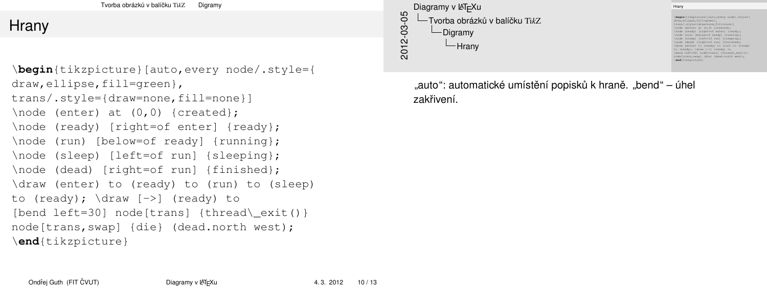```
Tvorba obrázkvDigramy
```
### Hran[y](#page-1-0)

\**begin**{tikzpicture}[auto,every node/.style={ draw, ellipse, fill=green}, trans/.style={draw=none,fill=none}] \node (enter) at (0,0) {created}; \node (ready) [right=of enter] {ready}; \node (run) [below=of ready] {running}; \node (sleep) [left=of run] {sleeping}; \node (dead) [right=of run] {finished}; \draw (enter) to (ready) to (run) to (sleep) to (ready); \draw [->] (ready) to [bend left=30] node[trans]  ${thread\� exit() }$ node[trans,swap] {die} (dead.north west); \**end**{tikzpicture}

```
2012-03-05
    Diagramy v LATEXu
           vorba obrázků v balíčku Tik<sub>z</sub>
             Digramy
              -Hranv
```
Hrany \**begin**{tikzpicture}[auto,every node/.style={ draw, ellipse, fillsereen}, draw,ellipse,till=green},<br>trans/.style={draw=none,fill=none}]<br>\node (enter) at (0,0) {created};<br>\node (encer) {ricks=f onter! (encer) trans/.style=(draw=none,till=none}]<br>\node (ready) [right=of enter] {ready};<br>\node (ready) [right=of enter] {ready};<br>\node (run] [below=of ready] [clusning}; \node (swady) [right=of ready] [running};<br>\node (sleep) [left=of run] {sleeping};<br>\node (dead) [right=of run] {finished};<br>\node (dead) [right=of run] {finished}; \node (sleep) [left=of run] {sleeping};<br>\draw (enter) to (ready) to (run) to (sleep)<br>\draw (enter); \draw [->]<br>to (ready); \draw [->] (ready) to<br>there (hendy); \draw [->] (ready) to end amitAbl \draw (enter) to (ready) to (run) to (sleep)<br>to (ready); \draw (->) (ready) to<br>[bend left=30] node[trans] (thread\\_exit()}<br>node[trans,swap] {die} (dead.north west);<br>\and(xilmnistans,swap] \**end**{tikzpicture}

"auto": automatické umístění popisků k hraně. "bend" – úhel zakřivení.

Ondřej Guth (FIT ČVUT) [Diagramy v L](#page-0-0)ATEXu 4. 3. 2012 10 / 13

<span id="page-9-0"></span>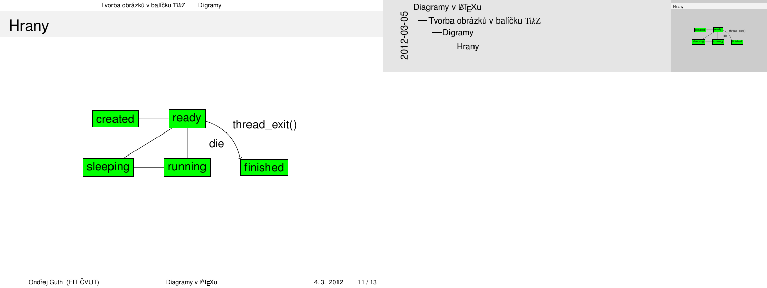| Tvorba obrázků v balíčku TikZ<br>Digramy | Diagramy v L <sup>A</sup> TEXu                                                                             | Hram  |
|------------------------------------------|------------------------------------------------------------------------------------------------------------|-------|
| Hrany                                    | ഥ<br>$\circ$<br>Tvorba obrázků v balíčku TikZ<br>ደ<br>-Digramy<br>ີ<br>$\mathbf{\Omega}$<br>$-$ Hrany<br>ನ | ™al k |

<span id="page-10-0"></span>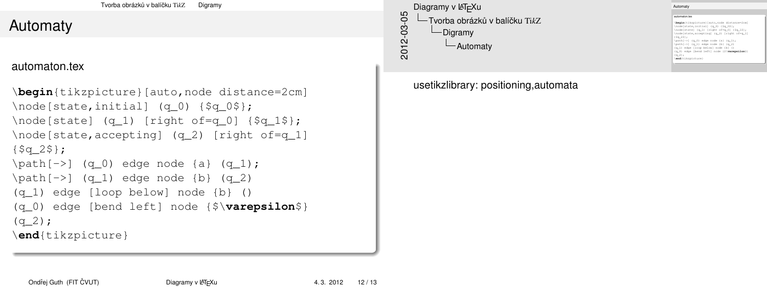[Tvorba](#page-11-0)[obrázk](#page-11-0)ů [v](#page-11-0) balíčku TikZ [Digramy](#page-11-0)

### Auto[maty](#page-1-0)

#### automaton.tex

```
\begin{tikzpicture}[auto,node distance=2cm]
\node[state,initial] (q_0) {$q_0$};
\n\node[state] (q_1) [right of=q_0] {sq_1$};\node[state,accepting] (q_2) [right of=q_1]
\{$q 2$};
\path[->] (q_0) edge node {a} (q_1);
\path[->] (q 1) edge node {b} (q 2)
(q_1) edge [loop below] node {b} ()
(q_0) edge [bend left] node {$\varepsilon$}
(q_2);
\end{tikzpicture}
```

```
2012-03-05
    Diagramy v LAT<sub>F</sub>Xu
      Tvorba obrázk ˚u v balícku ˇ TikZ
           Digramy
             Automaty
```
<span id="page-11-0"></span>usetikzlibrary: positioning,automata

#### Automaty

|                   | begin(tikzpicture) (auto.node distance-2cm)  |
|-------------------|----------------------------------------------|
|                   | \node[state,initial] (q_0) {\$q_0\$};        |
|                   | \node[state] (q_1) [right of=q_0] {\$q_1\$}; |
|                   | \node[state, accepting] (q_2) [right of=q_1] |
| (Sa 25):          |                                              |
|                   | \path[->] (q_0) edge node {a} (q_1);         |
|                   | \path[->] (q_1) edge node (b) (q_2)          |
|                   | $(q_1)$ edge [loop below] node (b) ()        |
|                   | (q_0) edge [bend left] node {3\varepsilon\$} |
| $(a-2)$ :         |                                              |
| \end(tikzpicture) |                                              |